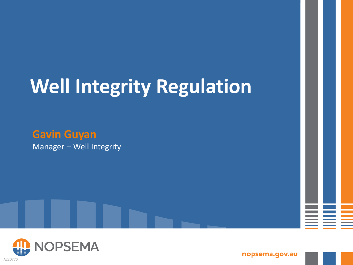# **Well Integrity Regulation**



Manager – Well Integrity



nopsema.gov.au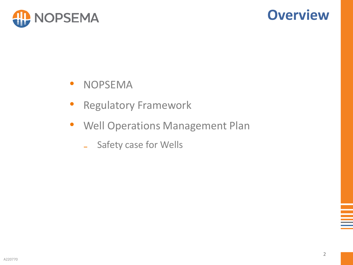

### **Overview**

- NOPSEMA
- **Regulatory Framework**
- Well Operations Management Plan
	- Safety case for Wells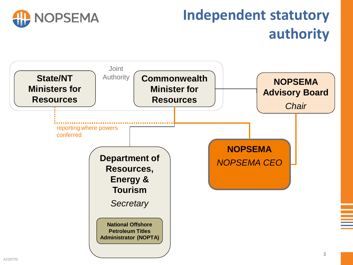

# **Independent statutory authority**

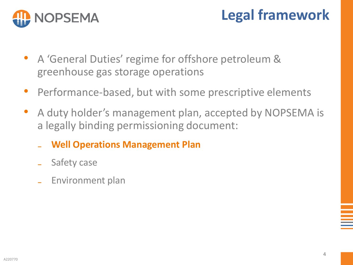

## **Legal framework**

- A 'General Duties' regime for offshore petroleum & greenhouse gas storage operations
- Performance-based, but with some prescriptive elements
- A duty holder's management plan, accepted by NOPSEMA is a legally binding permissioning document:
	- ₋ **Well Operations Management Plan**
	- Safety case
	- ₋ Environment plan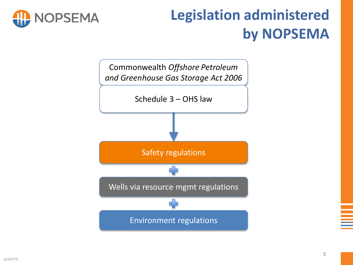

# **Legislation administered by NOPSEMA**

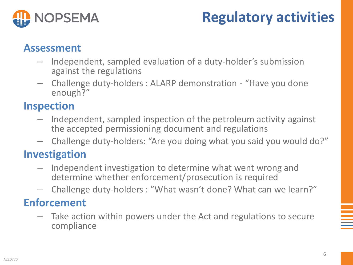

## **Regulatory activities**

#### **Assessment**

- Independent, sampled evaluation of a duty-holder's submission against the regulations
- Challenge duty-holders : ALARP demonstration "Have you done enough?"

#### **Inspection**

- Independent, sampled inspection of the petroleum activity against the accepted permissioning document and regulations
- Challenge duty-holders: "Are you doing what you said you would do?"

#### **Investigation**

- Independent investigation to determine what went wrong and determine whether enforcement/prosecution is required
- Challenge duty-holders : "What wasn't done? What can we learn?"

#### **Enforcement**

– Take action within powers under the Act and regulations to secure compliance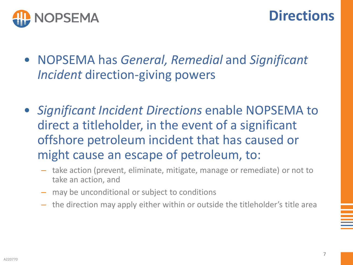

- NOPSEMA has *General, Remedial* and *Significant Incident* direction-giving powers
- *Significant Incident Directions* enable NOPSEMA to direct a titleholder, in the event of a significant offshore petroleum incident that has caused or might cause an escape of petroleum, to:
	- take action (prevent, eliminate, mitigate, manage or remediate) or not to take an action, and
	- may be unconditional or subject to conditions
	- the direction may apply either within or outside the titleholder's title area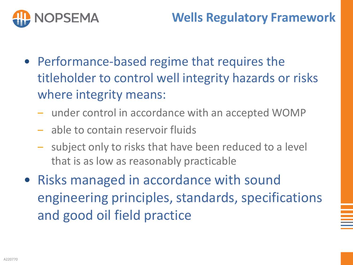

- Performance-based regime that requires the titleholder to control well integrity hazards or risks where integrity means:
	- under control in accordance with an accepted WOMP
	- able to contain reservoir fluids
	- subject only to risks that have been reduced to a level that is as low as reasonably practicable
- Risks managed in accordance with sound engineering principles, standards, specifications and good oil field practice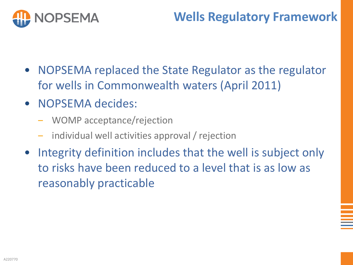

#### **Wells Regulatory Framework**

- NOPSEMA replaced the State Regulator as the regulator for wells in Commonwealth waters (April 2011)
- NOPSEMA decides:
	- ‒ WOMP acceptance/rejection
	- individual well activities approval / rejection
- Integrity definition includes that the well is subject only to risks have been reduced to a level that is as low as reasonably practicable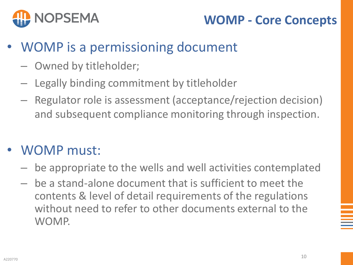

#### **WOMP - Core Concepts**

- WOMP is a permissioning document
	- Owned by titleholder;
	- Legally binding commitment by titleholder
	- Regulator role is assessment (acceptance/rejection decision) and subsequent compliance monitoring through inspection.

#### • WOMP must:

- be appropriate to the wells and well activities contemplated
- be a stand-alone document that is sufficient to meet the contents & level of detail requirements of the regulations without need to refer to other documents external to the WOMP.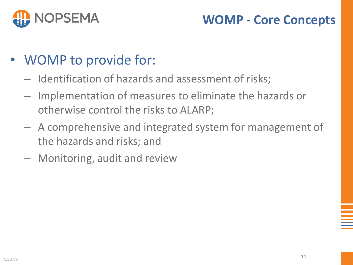

#### **WOMP - Core Concepts**

- WOMP to provide for:
	- Identification of hazards and assessment of risks;
	- Implementation of measures to eliminate the hazards or otherwise control the risks to ALARP;
	- A comprehensive and integrated system for management of the hazards and risks; and
	- Monitoring, audit and review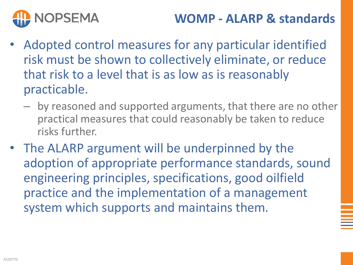

#### **WOMP - ALARP & standards**

- Adopted control measures for any particular identified risk must be shown to collectively eliminate, or reduce that risk to a level that is as low as is reasonably practicable.
	- by reasoned and supported arguments, that there are no other practical measures that could reasonably be taken to reduce risks further.
- The ALARP argument will be underpinned by the adoption of appropriate performance standards, sound engineering principles, specifications, good oilfield practice and the implementation of a management system which supports and maintains them.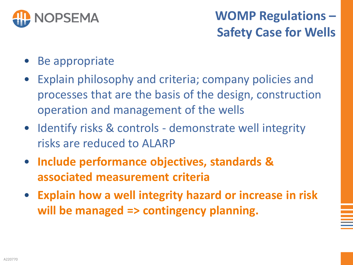

### **WOMP Regulations – Safety Case for Wells**

- Be appropriate
- Explain philosophy and criteria; company policies and processes that are the basis of the design, construction operation and management of the wells
- Identify risks & controls demonstrate well integrity risks are reduced to ALARP
- **Include performance objectives, standards & associated measurement criteria**
- **Explain how a well integrity hazard or increase in risk will be managed => contingency planning.**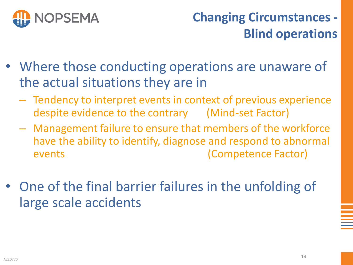

### **Changing Circumstances - Blind operations**

- Where those conducting operations are unaware of the actual situations they are in
	- Tendency to interpret events in context of previous experience despite evidence to the contrary (Mind-set Factor)
	- Management failure to ensure that members of the workforce have the ability to identify, diagnose and respond to abnormal events (Competence Factor)
- One of the final barrier failures in the unfolding of large scale accidents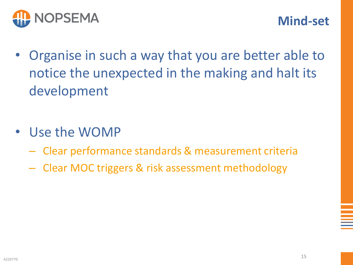

- Organise in such a way that you are better able to notice the unexpected in the making and halt its development
- Use the WOMP
	- Clear performance standards & measurement criteria
	- Clear MOC triggers & risk assessment methodology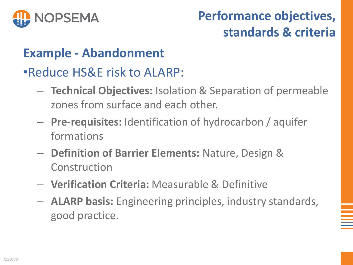

### **Performance objectives, standards & criteria**

#### **Example - Abandonment**

•Reduce HS&E risk to ALARP:

- **Technical Objectives:** Isolation & Separation of permeable zones from surface and each other.
- **Pre-requisites:** Identification of hydrocarbon / aquifer formations
- **Definition of Barrier Elements:** Nature, Design & Construction
- **Verification Criteria:** Measurable & Definitive
- **ALARP basis:** Engineering principles, industry standards, good practice.